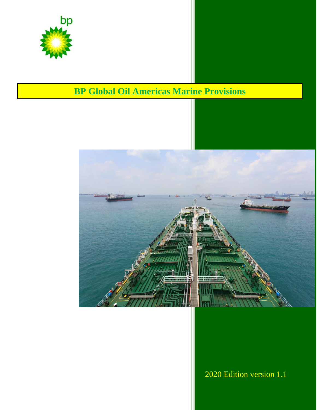

# **BP Global Oil Americas Marine Provisions**



2020 Edition version 1.1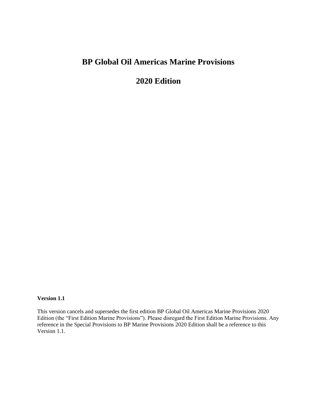# **BP Global Oil Americas Marine Provisions**

## **2020 Edition**

#### **Version 1.1**

This version cancels and supersedes the first edition BP Global Oil Americas Marine Provisions 2020 Edition (the "First Edition Marine Provisions"). Please disregard the First Edition Marine Provisions. Any reference in the Special Provisions to BP Marine Provisions 2020 Edition shall be a reference to this Version 1.1.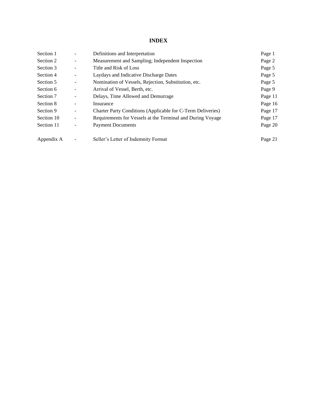### **INDEX**

| Section 1  |   | Definitions and Interpretation                              | Page 1  |
|------------|---|-------------------------------------------------------------|---------|
| Section 2  | - | Measurement and Sampling; Independent Inspection            | Page 2  |
| Section 3  |   | Title and Risk of Loss                                      | Page 5  |
| Section 4  |   | Laydays and Indicative Discharge Dates                      | Page 5  |
| Section 5  | - | Nomination of Vessels, Rejection, Substitution, etc.        | Page 5  |
| Section 6  | - | Arrival of Vessel, Berth, etc.                              | Page 9  |
| Section 7  | ۰ | Delays, Time Allowed and Demurrage                          | Page 11 |
| Section 8  | - | Insurance                                                   | Page 16 |
| Section 9  |   | Charter Party Conditions (Applicable for C-Term Deliveries) | Page 17 |
| Section 10 | - | Requirements for Vessels at the Terminal and During Voyage  | Page 17 |
| Section 11 |   | <b>Payment Documents</b>                                    | Page 20 |
| Appendix A |   | Seller's Letter of Indemnity Format                         | Page 21 |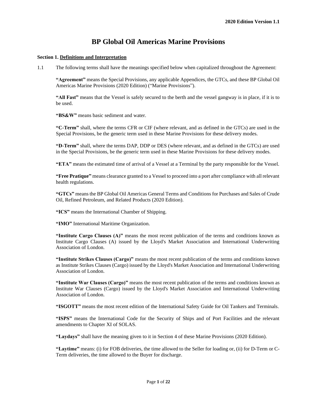### **BP Global Oil Americas Marine Provisions**

#### **Section 1. Definitions and Interpretation**

1.1 The following terms shall have the meanings specified below when capitalized throughout the Agreement:

**"Agreement"** means the Special Provisions, any applicable Appendices, the GTCs, and these BP Global Oil Americas Marine Provisions (2020 Edition) ("Marine Provisions").

**"All Fast"** means that the Vessel is safely secured to the berth and the vessel gangway is in place, if it is to be used.

**"BS&W"** means basic sediment and water.

**"C-Term"** shall, where the terms CFR or CIF (where relevant, and as defined in the GTCs) are used in the Special Provisions, be the generic term used in these Marine Provisions for these delivery modes.

**"D-Term"** shall, where the terms DAP, DDP or DES (where relevant, and as defined in the GTCs) are used in the Special Provisions, be the generic term used in these Marine Provisions for these delivery modes.

**"ETA"** means the estimated time of arrival of a Vessel at a Terminal by the party responsible for the Vessel.

**"Free Pratique"** means clearance granted to a Vessel to proceed into a port after compliance with all relevant health regulations.

**"GTCs"** means the BP Global Oil Americas General Terms and Conditions for Purchases and Sales of Crude Oil, Refined Petroleum, and Related Products (2020 Edition).

**"ICS"** means the International Chamber of Shipping.

**"IMO"** International Maritime Organization.

**"Institute Cargo Clauses (A)"** means the most recent publication of the terms and conditions known as Institute Cargo Clauses (A) issued by the Lloyd's Market Association and International Underwriting Association of London.

**"Institute Strikes Clauses (Cargo)"** means the most recent publication of the terms and conditions known as Institute Strikes Clauses (Cargo) issued by the Lloyd's Market Association and International Underwriting Association of London.

**"Institute War Clauses (Cargo)"** means the most recent publication of the terms and conditions known as Institute War Clauses (Cargo) issued by the Lloyd's Market Association and International Underwriting Association of London.

**"ISGOTT"** means the most recent edition of the International Safety Guide for Oil Tankers and Terminals.

**"ISPS"** means the International Code for the Security of Ships and of Port Facilities and the relevant amendments to Chapter XI of SOLAS.

**"Laydays"** shall have the meaning given to it in Section 4 of these Marine Provisions (2020 Edition).

**"Laytime"** means: (i) for FOB deliveries, the time allowed to the Seller for loading or, (ii) for D-Term or C-Term deliveries, the time allowed to the Buyer for discharge.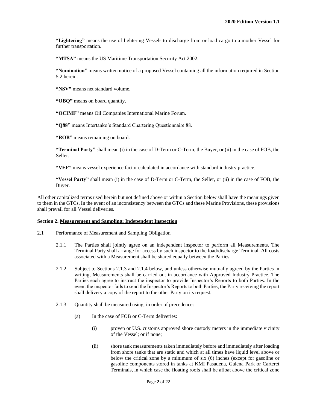**"Lightering"** means the use of lightering Vessels to discharge from or load cargo to a mother Vessel for further transportation.

**"MTSA"** means the US Maritime Transportation Security Act 2002.

**"Nomination"** means written notice of a proposed Vessel containing all the information required in Section 5.2 herein.

**"NSV"** means net standard volume.

**"OBQ"** means on board quantity.

**"OCIMF"** means Oil Companies International Marine Forum.

**"Q88"** means Intertanko's Standard Chartering Questionnaire 88.

**"ROB"** means remaining on board.

**"Terminal Party"** shall mean (i) in the case of D-Term or C-Term, the Buyer, or (ii) in the case of FOB, the Seller.

**"VEF"** means vessel experience factor calculated in accordance with standard industry practice.

**"Vessel Party"** shall mean (i) in the case of D-Term or C-Term, the Seller, or (ii) in the case of FOB, the Buyer.

All other capitalized terms used herein but not defined above or within a Section below shall have the meanings given to them in the GTCs. In the event of an inconsistency between the GTCs and these Marine Provisions, these provisions shall prevail for all Vessel deliveries.

#### **Section 2. Measurement and Sampling; Independent Inspection**

- 2.1 Performance of Measurement and Sampling Obligation
	- 2.1.1 The Parties shall jointly agree on an independent inspector to perform all Measurements. The Terminal Party shall arrange for access by such inspector to the load/discharge Terminal. All costs associated with a Measurement shall be shared equally between the Parties.
	- 2.1.2 Subject to Sections 2.1.3 and 2.1.4 below, and unless otherwise mutually agreed by the Parties in writing, Measurements shall be carried out in accordance with Approved Industry Practice. The Parties each agree to instruct the inspector to provide Inspector's Reports to both Parties. In the event the inspector fails to send the Inspector's Reports to both Parties, the Party receiving the report shall delivery a copy of the report to the other Party on its request.
	- 2.1.3 Quantity shall be measured using, in order of precedence:
		- (a) In the case of FOB or C-Term deliveries:
			- (i) proven or U.S. customs approved shore custody meters in the immediate vicinity of the Vessel; or if none;
			- (ii) shore tank measurements taken immediately before and immediately after loading from shore tanks that are static and which at all times have liquid level above or below the critical zone by a minimum of six (6) inches (except for gasoline or gasoline components stored in tanks at KMI Pasadena, Galena Park or Carteret Terminals, in which case the floating roofs shall be afloat above the critical zone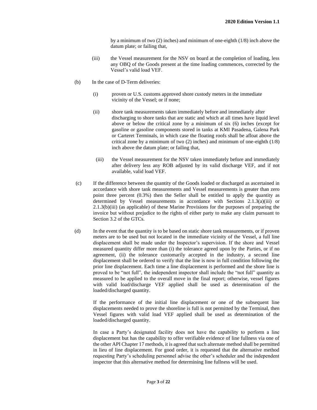by a minimum of two (2) inches) and minimum of one-eighth (1/8) inch above the datum plate; or failing that,

- (iii) the Vessel measurement for the NSV on board at the completion of loading, less any OBQ of the Goods present at the time loading commences, corrected by the Vessel's valid load VEF.
- (b) In the case of D-Term deliveries:
	- (i) proven or U.S. customs approved shore custody meters in the immediate vicinity of the Vessel; or if none;
	- (ii) shore tank measurements taken immediately before and immediately after discharging to shore tanks that are static and which at all times have liquid level above or below the critical zone by a minimum of six (6) inches (except for gasoline or gasoline components stored in tanks at KMI Pasadena, Galena Park or Carteret Terminals, in which case the floating roofs shall be afloat above the critical zone by a minimum of two (2) inches) and minimum of one-eighth (1/8) inch above the datum plate; or failing that,
	- (iii) the Vessel measurement for the NSV taken immediately before and immediately after delivery less any ROB adjusted by its valid discharge VEF, and if not available, valid load VEF.
- (c) If the difference between the quantity of the Goods loaded or discharged as ascertained in accordance with shore tank measurements and Vessel measurements is greater than zero point three percent (0.3%) then the Seller shall be entitled to apply the quantity as determined by Vessel measurements in accordance with Sections 2.1.3(a)(iii) or 2.1.3(b)(iii) (as applicable) of these Marine Provisions for the purposes of preparing the invoice but without prejudice to the rights of either party to make any claim pursuant to Section 3.2 of the GTCs.
- (d) In the event that the quantity is to be based on static shore tank measurements, or if proven meters are to be used but not located in the immediate vicinity of the Vessel, a full line displacement shall be made under the Inspector's supervision. If the shore and Vessel measured quantity differ more than (i) the tolerance agreed upon by the Parties, or if no agreement, (ii) the tolerance customarily accepted in the industry, a second line displacement shall be ordered to verify that the line is now in full condition following the prior line displacement. Each time a line displacement is performed and the shore line is proved to be "not full", the independent inspector shall include the "not full" quantity as measured to be applied to the overall move in the final report; otherwise, vessel figures with valid load/discharge VEF applied shall be used as determination of the loaded/discharged quantity.

If the performance of the initial line displacement or one of the subsequent line displacements needed to prove the shoreline is full is not permitted by the Terminal, then Vessel figures with valid load VEF applied shall be used as determination of the loaded/discharged quantity.

In case a Party's designated facility does not have the capability to perform a line displacement but has the capability to offer verifiable evidence of line fullness via one of the other API Chapter 17 methods, it is agreed that such alternate method shall be permitted in lieu of line displacement. For good order, it is requested that the alternative method requesting Party's scheduling personnel advise the other's scheduler and the independent inspector that this alternative method for determining line fullness will be used.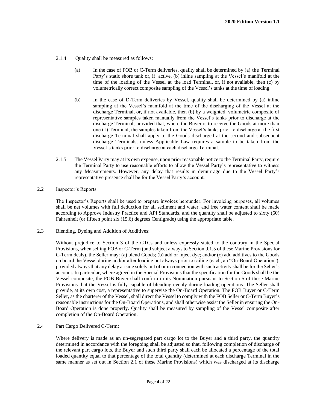- 2.1.4 Ouality shall be measured as follows:
	- (a) In the case of FOB or C-Term deliveries, quality shall be determined by (a) the Terminal Party's static shore tank or, if active, (b) inline sampling at the Vessel's manifold at the time of the loading of the Vessel at the load Terminal, or, if not available, then (c) by volumetrically correct composite sampling of the Vessel's tanks at the time of loading.
	- (b) In the case of D-Term deliveries by Vessel, quality shall be determined by (a) inline sampling at the Vessel's manifold at the time of the discharging of the Vessel at the discharge Terminal, or, if not available, then (b) by a weighted, volumetric composite of representative samples taken manually from the Vessel's tanks prior to discharge at the discharge Terminal, provided that, where the Buyer is to receive the Goods at more than one (1) Terminal, the samples taken from the Vessel's tanks prior to discharge at the first discharge Terminal shall apply to the Goods discharged at the second and subsequent discharge Terminals, unless Applicable Law requires a sample to be taken from the Vessel's tanks prior to discharge at each discharge Terminal.
- 2.1.5 The Vessel Party may at its own expense, upon prior reasonable notice to the Terminal Party, require the Terminal Party to use reasonable efforts to allow the Vessel Party's representative to witness any Measurements. However, any delay that results in demurrage due to the Vessel Party's representative presence shall be for the Vessel Party's account.
- 2.2 Inspector's Reports:

The Inspector's Reports shall be used to prepare invoices hereunder. For invoicing purposes, all volumes shall be net volumes with full deduction for all sediment and water, and free water content shall be made according to Approve Industry Practice and API Standards, and the quantity shall be adjusted to sixty (60) Fahrenheit (or fifteen point six (15.6) degrees Centigrade) using the appropriate table.

2.3 Blending, Dyeing and Addition of Additives:

Without prejudice to Section 3 of the GTCs and unless expressly stated to the contrary in the Special Provisions, when selling FOB or C-Term (and subject always to Section 9.1.5 of these Marine Provisions for C-Term deals), the Seller may: (a) blend Goods; (b) add or inject dye; and/or (c) add additives to the Goods on board the Vessel during and/or after loading but always prior to sailing (each, an "On-Board Operation"), provided always that any delay arising solely out of or in connection with such activity shall be for the Seller's account. In particular, where agreed in the Special Provisions that the specification for the Goods shall be the Vessel composite, the FOB Buyer shall confirm in its Nomination pursuant to Section 5 of these Marine Provisions that the Vessel is fully capable of blending evenly during loading operations. The Seller shall provide, at its own cost, a representative to supervise the On-Board Operation. The FOB Buyer or C-Term Seller, as the charterer of the Vessel, shall direct the Vessel to comply with the FOB Seller or C-Term Buyer's reasonable instructions for the On-Board Operations, and shall otherwise assist the Seller in ensuring the On-Board Operation is done properly. Quality shall be measured by sampling of the Vessel composite after completion of the On-Board Operation.

2.4 Part Cargo Delivered C-Term:

Where delivery is made as an un-segregated part cargo lot to the Buyer and a third party, the quantity determined in accordance with the foregoing shall be adjusted so that, following completion of discharge of the relevant part cargo lots, the Buyer and such third party shall each be allocated a percentage of the total loaded quantity equal to that percentage of the total quantity (determined at each discharge Terminal in the same manner as set out in Section 2.1 of these Marine Provisions) which was discharged at its discharge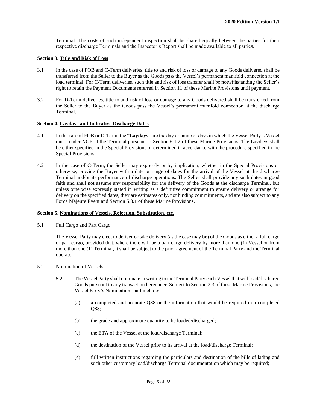Terminal. The costs of such independent inspection shall be shared equally between the parties for their respective discharge Terminals and the Inspector's Report shall be made available to all parties.

#### **Section 3. Title and Risk of Loss**

- 3.1 In the case of FOB and C-Term deliveries, title to and risk of loss or damage to any Goods delivered shall be transferred from the Seller to the Buyer as the Goods pass the Vessel's permanent manifold connection at the load terminal. For C-Term deliveries, such title and risk of loss transfer shall be notwithstanding the Seller's right to retain the Payment Documents referred in Section 11 of these Marine Provisions until payment.
- 3.2 For D-Term deliveries, title to and risk of loss or damage to any Goods delivered shall be transferred from the Seller to the Buyer as the Goods pass the Vessel's permanent manifold connection at the discharge Terminal.

#### **Section 4. Laydays and Indicative Discharge Dates**

- 4.1 In the case of FOB or D-Term, the "**Laydays**" are the day or range of days in which the Vessel Party's Vessel must tender NOR at the Terminal pursuant to Section 6.1.2 of these Marine Provisions. The Laydays shall be either specified in the Special Provisions or determined in accordance with the procedure specified in the Special Provisions.
- 4.2 In the case of C-Term, the Seller may expressly or by implication, whether in the Special Provisions or otherwise, provide the Buyer with a date or range of dates for the arrival of the Vessel at the discharge Terminal and/or its performance of discharge operations. The Seller shall provide any such dates in good faith and shall not assume any responsibility for the delivery of the Goods at the discharge Terminal, but unless otherwise expressly stated in writing as a definitive commitment to ensure delivery or arrange for delivery on the specified dates, they are estimates only, not binding commitments, and are also subject to any Force Majeure Event and Section 5.8.1 of these Marine Provisions.

#### **Section 5. Nominations of Vessels, Rejection, Substitution, etc.**

5.1 Full Cargo and Part Cargo

The Vessel Party may elect to deliver or take delivery (as the case may be) of the Goods as either a full cargo or part cargo, provided that, where there will be a part cargo delivery by more than one (1) Vessel or from more than one (1) Terminal, it shall be subject to the prior agreement of the Terminal Party and the Terminal operator.

- 5.2 Nomination of Vessels:
	- 5.2.1 The Vessel Party shall nominate in writing to the Terminal Party each Vessel that will load/discharge Goods pursuant to any transaction hereunder. Subject to Section 2.3 of these Marine Provisions, the Vessel Party's Nomination shall include:
		- (a) a completed and accurate Q88 or the information that would be required in a completed Q88;
		- (b) the grade and approximate quantity to be loaded/discharged;
		- (c) the ETA of the Vessel at the load/discharge Terminal;
		- (d) the destination of the Vessel prior to its arrival at the load/discharge Terminal;
		- (e) full written instructions regarding the particulars and destination of the bills of lading and such other customary load/discharge Terminal documentation which may be required;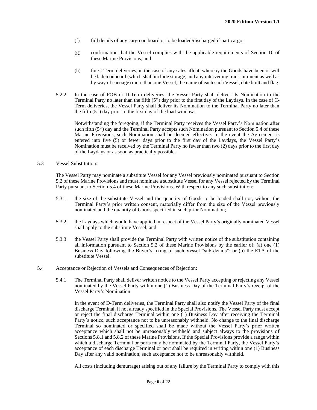- (f) full details of any cargo on board or to be loaded/discharged if part cargo;
- (g) confirmation that the Vessel complies with the applicable requirements of Section 10 of these Marine Provisions; and
- (h) for C-Term deliveries, in the case of any sales afloat, whereby the Goods have been or will be laden onboard (which shall include storage, and any intervening transshipment as well as by way of carriage) more than one Vessel, the name of each such Vessel, date built and flag.
- 5.2.2 In the case of FOB or D-Term deliveries, the Vessel Party shall deliver its Nomination to the Terminal Party no later than the fifth  $(5<sup>th</sup>)$  day prior to the first day of the Laydays. In the case of C-Term deliveries, the Vessel Party shall deliver its Nomination to the Terminal Party no later than the fifth  $(5<sup>th</sup>)$  day prior to the first day of the load window.

Notwithstanding the foregoing, if the Terminal Party receives the Vessel Party's Nomination after such fifth  $(5<sup>th</sup>)$  day and the Terminal Party accepts such Nomination pursuant to Section 5.4 of these Marine Provisions, such Nomination shall be deemed effective. In the event the Agreement is entered into five (5) or fewer days prior to the first day of the Laydays, the Vessel Party's Nomination must be received by the Terminal Party no fewer than two (2) days prior to the first day of the Laydays or as soon as practically possible.

#### 5.3 Vessel Substitution:

The Vessel Party may nominate a substitute Vessel for any Vessel previously nominated pursuant to Section 5.2 of these Marine Provisions and must nominate a substitute Vessel for any Vessel rejected by the Terminal Party pursuant to Section 5.4 of these Marine Provisions. With respect to any such substitution:

- 5.3.1 the size of the substitute Vessel and the quantity of Goods to be loaded shall not, without the Terminal Party's prior written consent, materially differ from the size of the Vessel previously nominated and the quantity of Goods specified in such prior Nomination;
- 5.3.2 the Laydays which would have applied in respect of the Vessel Party's originally nominated Vessel shall apply to the substitute Vessel; and
- 5.3.3 the Vessel Party shall provide the Terminal Party with written notice of the substitution containing all information pursuant to Section 5.2 of these Marine Provisions by the earlier of: (a) one (1) Business Day following the Buyer's fixing of such Vessel "sub-details"; or (b) the ETA of the substitute Vessel.
- 5.4 Acceptance or Rejection of Vessels and Consequences of Rejection:
	- 5.4.1 The Terminal Party shall deliver written notice to the Vessel Party accepting or rejecting any Vessel nominated by the Vessel Party within one (1) Business Day of the Terminal Party's receipt of the Vessel Party's Nomination.

In the event of D-Term deliveries, the Terminal Party shall also notify the Vessel Party of the final discharge Terminal, if not already specified in the Special Provisions. The Vessel Party must accept or reject the final discharge Terminal within one (1) Business Day after receiving the Terminal Party's notice, such acceptance not to be unreasonably withheld. No change to the final discharge Terminal so nominated or specified shall be made without the Vessel Party's prior written acceptance which shall not be unreasonably withheld and subject always to the provisions of Sections 5.8.1 and 5.8.2 of these Marine Provisions. If the Special Provisions provide a range within which a discharge Terminal or ports may be nominated by the Terminal Party, the Vessel Party's acceptance of each discharge Terminal or port shall be required in writing within one (1) Business Day after any valid nomination, such acceptance not to be unreasonably withheld.

All costs (including demurrage) arising out of any failure by the Terminal Party to comply with this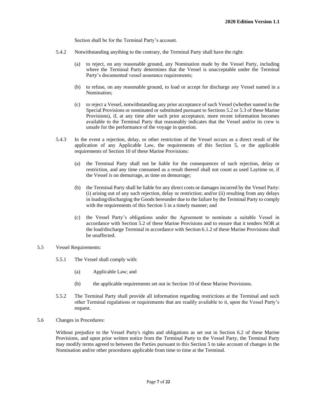Section shall be for the Terminal Party's account.

- 5.4.2 Notwithstanding anything to the contrary, the Terminal Party shall have the right:
	- (a) to reject, on any reasonable ground, any Nomination made by the Vessel Party, including where the Terminal Party determines that the Vessel is unacceptable under the Terminal Party's documented vessel assurance requirements;
	- (b) to refuse, on any reasonable ground, to load or accept for discharge any Vessel named in a Nomination;
	- (c) to reject a Vessel, notwithstanding any prior acceptance of such Vessel (whether named in the Special Provisions or nominated or substituted pursuant to Sections 5.2 or 5.3 of these Marine Provisions), if, at any time after such prior acceptance, more recent information becomes available to the Terminal Party that reasonably indicates that the Vessel and/or its crew is unsafe for the performance of the voyage in question.
- 5.4.3 In the event a rejection, delay, or other restriction of the Vessel occurs as a direct result of the application of any Applicable Law, the requirements of this Section 5, or the applicable requirements of Section 10 of these Marine Provisions:
	- (a) the Terminal Party shall not be liable for the consequences of such rejection, delay or restriction, and any time consumed as a result thereof shall not count as used Laytime or, if the Vessel is on demurrage, as time on demurrage;
	- (b) the Terminal Party shall be liable for any direct costs or damages incurred by the Vessel Party: (i) arising out of any such rejection, delay or restriction; and/or (ii) resulting from any delays in loading/discharging the Goods hereunder due to the failure by the Terminal Party to comply with the requirements of this Section 5 in a timely manner; and
	- (c) the Vessel Party's obligations under the Agreement to nominate a suitable Vessel in accordance with Section 5.2 of these Marine Provisions and to ensure that it tenders NOR at the load/discharge Terminal in accordance with Section 6.1.2 of these Marine Provisions shall be unaffected.

#### 5.5 Vessel Requirements:

- 5.5.1 The Vessel shall comply with:
	- (a) Applicable Law; and
	- (b) the applicable requirements set out in Section 10 of these Marine Provisions.
- 5.5.2 The Terminal Party shall provide all information regarding restrictions at the Terminal and such other Terminal regulations or requirements that are readily available to it, upon the Vessel Party's request.
- 5.6 Changes in Procedures:

Without prejudice to the Vessel Party's rights and obligations as set out in Section 6.2 of these Marine Provisions, and upon prior written notice from the Terminal Party to the Vessel Party, the Terminal Party may modify terms agreed to between the Parties pursuant to this Section 5 to take account of changes in the Nomination and/or other procedures applicable from time to time at the Terminal.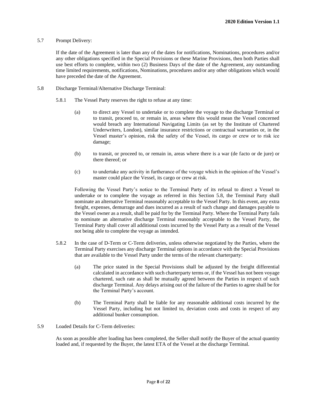#### 5.7 Prompt Delivery:

If the date of the Agreement is later than any of the dates for notifications, Nominations, procedures and/or any other obligations specified in the Special Provisions or these Marine Provisions, then both Parties shall use best efforts to complete, within two (2) Business Days of the date of the Agreement, any outstanding time limited requirements, notifications, Nominations, procedures and/or any other obligations which would have preceded the date of the Agreement.

- 5.8 Discharge Terminal/Alternative Discharge Terminal:
	- 5.8.1 The Vessel Party reserves the right to refuse at any time:
		- (a) to direct any Vessel to undertake or to complete the voyage to the discharge Terminal or to transit, proceed to, or remain in, areas where this would mean the Vessel concerned would breach any International Navigating Limits (as set by the Institute of Chartered Underwriters, London), similar insurance restrictions or contractual warranties or, in the Vessel master's opinion, risk the safety of the Vessel, its cargo or crew or to risk ice damage;
		- (b) to transit, or proceed to, or remain in, areas where there is a war (de facto or de jure) or there thereof; or
		- (c) to undertake any activity in furtherance of the voyage which in the opinion of the Vessel's master could place the Vessel, its cargo or crew at risk.

Following the Vessel Party's notice to the Terminal Party of its refusal to direct a Vessel to undertake or to complete the voyage as referred in this Section 5.8, the Terminal Party shall nominate an alternative Terminal reasonably acceptable to the Vessel Party. In this event, any extra freight, expenses, demurrage and dues incurred as a result of such change and damages payable to the Vessel owner as a result, shall be paid for by the Terminal Party. Where the Terminal Party fails to nominate an alternative discharge Terminal reasonably acceptable to the Vessel Party, the Terminal Party shall cover all additional costs incurred by the Vessel Party as a result of the Vessel not being able to complete the voyage as intended.

- 5.8.2 In the case of D-Term or C-Term deliveries, unless otherwise negotiated by the Parties, where the Terminal Party exercises any discharge Terminal options in accordance with the Special Provisions that are available to the Vessel Party under the terms of the relevant charterparty:
	- (a) The price stated in the Special Provisions shall be adjusted by the freight differential calculated in accordance with such charterparty terms or, if the Vessel has not been voyage chartered, such rate as shall be mutually agreed between the Parties in respect of such discharge Terminal. Any delays arising out of the failure of the Parties to agree shall be for the Terminal Party's account.
	- (b) The Terminal Party shall be liable for any reasonable additional costs incurred by the Vessel Party, including but not limited to, deviation costs and costs in respect of any additional bunker consumption.
- 5.9 Loaded Details for C-Term deliveries:

As soon as possible after loading has been completed, the Seller shall notify the Buyer of the actual quantity loaded and, if requested by the Buyer, the latest ETA of the Vessel at the discharge Terminal.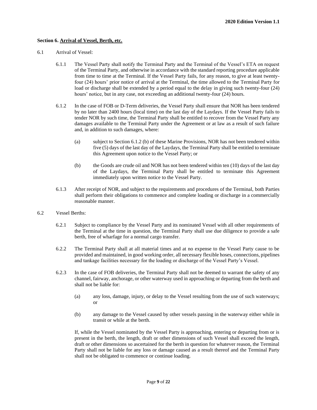#### **Section 6. Arrival of Vessel, Berth, etc.**

- 6.1 Arrival of Vessel:
	- 6.1.1 The Vessel Party shall notify the Terminal Party and the Terminal of the Vessel's ETA on request of the Terminal Party, and otherwise in accordance with the standard reporting procedure applicable from time to time at the Terminal. If the Vessel Party fails, for any reason, to give at least twentyfour (24) hours' prior notice of arrival at the Terminal, the time allowed to the Terminal Party for load or discharge shall be extended by a period equal to the delay in giving such twenty-four (24) hours' notice, but in any case, not exceeding an additional twenty-four (24) hours.
	- 6.1.2 In the case of FOB or D-Term deliveries, the Vessel Party shall ensure that NOR has been tendered by no later than 2400 hours (local time) on the last day of the Laydays. If the Vessel Party fails to tender NOR by such time, the Terminal Party shall be entitled to recover from the Vessel Party any damages available to the Terminal Party under the Agreement or at law as a result of such failure and, in addition to such damages, where:
		- (a) subject to Section 6.1.2 (b) of these Marine Provisions, NOR has not been tendered within five (5) days of the last day of the Laydays, the Terminal Party shall be entitled to terminate this Agreement upon notice to the Vessel Party; or
		- (b) the Goods are crude oil and NOR has not been tendered within ten (10) days of the last day of the Laydays, the Terminal Party shall be entitled to terminate this Agreement immediately upon written notice to the Vessel Party.
	- 6.1.3 After receipt of NOR, and subject to the requirements and procedures of the Terminal, both Parties shall perform their obligations to commence and complete loading or discharge in a commercially reasonable manner.
- 6.2 Vessel Berths:
	- 6.2.1 Subject to compliance by the Vessel Party and its nominated Vessel with all other requirements of the Terminal at the time in question, the Terminal Party shall use due diligence to provide a safe berth, free of wharfage for a normal cargo transfer.
	- 6.2.2 The Terminal Party shall at all material times and at no expense to the Vessel Party cause to be provided and maintained, in good working order, all necessary flexible hoses, connections, pipelines and tankage facilities necessary for the loading or discharge of the Vessel Party's Vessel.
	- 6.2.3 In the case of FOB deliveries, the Terminal Party shall not be deemed to warrant the safety of any channel, fairway, anchorage, or other waterway used in approaching or departing from the berth and shall not be liable for:
		- (a) any loss, damage, injury, or delay to the Vessel resulting from the use of such waterways; or
		- (b) any damage to the Vessel caused by other vessels passing in the waterway either while in transit or while at the berth.

If, while the Vessel nominated by the Vessel Party is approaching, entering or departing from or is present in the berth, the length, draft or other dimensions of such Vessel shall exceed the length, draft or other dimensions so ascertained for the berth in question for whatever reason, the Terminal Party shall not be liable for any loss or damage caused as a result thereof and the Terminal Party shall not be obligated to commence or continue loading.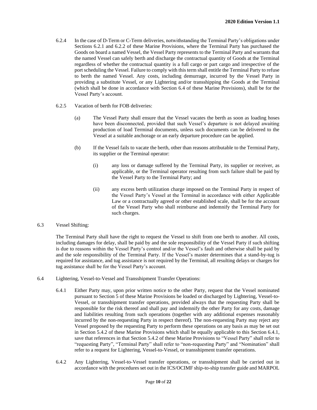- 6.2.4 In the case of D-Term or C-Term deliveries, notwithstanding the Terminal Party's obligations under Sections 6.2.1 and 6.2.2 of these Marine Provisions, where the Terminal Party has purchased the Goods on board a named Vessel, the Vessel Party represents to the Terminal Party and warrants that the named Vessel can safely berth and discharge the contractual quantity of Goods at the Terminal regardless of whether the contractual quantity is a full cargo or part cargo and irrespective of the port scheduling the Vessel. Failure to comply with this term shall entitle the Terminal Party to refuse to berth the named Vessel. Any costs, including demurrage, incurred by the Vessel Party in providing a substitute Vessel, or any Lightering and/or transshipping the Goods at the Terminal (which shall be done in accordance with Section 6.4 of these Marine Provisions), shall be for the Vessel Party's account.
- 6.2.5 Vacation of berth for FOB deliveries:
	- (a) The Vessel Party shall ensure that the Vessel vacates the berth as soon as loading hoses have been disconnected, provided that such Vessel's departure is not delayed awaiting production of load Terminal documents, unless such documents can be delivered to the Vessel at a suitable anchorage or an early departure procedure can be applied.
	- (b) If the Vessel fails to vacate the berth, other than reasons attributable to the Terminal Party, its supplier or the Terminal operator:
		- (i) any loss or damage suffered by the Terminal Party, its supplier or receiver, as applicable, or the Terminal operator resulting from such failure shall be paid by the Vessel Party to the Terminal Party; and
		- (ii) any excess berth utilization charge imposed on the Terminal Party in respect of the Vessel Party's Vessel at the Terminal in accordance with either Applicable Law or a contractually agreed or other established scale, shall be for the account of the Vessel Party who shall reimburse and indemnify the Terminal Party for such charges.
- 6.3 Vessel Shifting:

The Terminal Party shall have the right to request the Vessel to shift from one berth to another. All costs, including damages for delay, shall be paid by and the sole responsibility of the Vessel Party if such shifting is due to reasons within the Vessel Party's control and/or the Vessel's fault and otherwise shall be paid by and the sole responsibility of the Terminal Party. If the Vessel's master determines that a stand-by-tug is required for assistance, and tug assistance is not required by the Terminal, all resulting delays or charges for tug assistance shall be for the Vessel Party's account.

- 6.4 Lightering, Vessel-to-Vessel and Transshipment Transfer Operations:
	- 6.4.1 Either Party may, upon prior written notice to the other Party, request that the Vessel nominated pursuant to Section 5 of these Marine Provisions be loaded or discharged by Lightering, Vessel-to-Vessel, or transshipment transfer operations, provided always that the requesting Party shall be responsible for the risk thereof and shall pay and indemnify the other Party for any costs, damage and liabilities resulting from such operations (together with any additional expenses reasonably incurred by the non-requesting Party in respect thereof). The non-requesting Party may reject any Vessel proposed by the requesting Party to perform these operations on any basis as may be set out in Section 5.4.2 of these Marine Provisions which shall be equally applicable to this Section 6.4.1, save that references in that Section 5.4.2 of these Marine Provisions to "Vessel Party" shall refer to "requesting Party", "Terminal Party" shall refer to "non-requesting Party" and "Nomination" shall refer to a request for Lightering, Vessel-to-Vessel, or transshipment transfer operations.
	- 6.4.2 Any Lightering, Vessel-to-Vessel transfer operations, or transshipment shall be carried out in accordance with the procedures set out in the ICS/OCIMF ship-to-ship transfer guide and MARPOL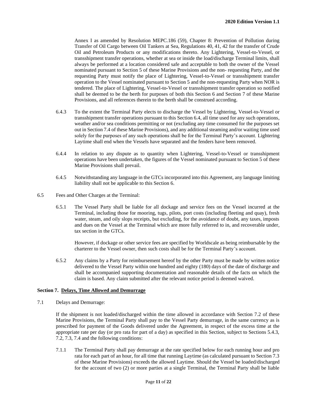Annex I as amended by Resolution MEPC.186 (59), Chapter 8: Prevention of Pollution during Transfer of Oil Cargo between Oil Tankers at Sea, Regulations 40, 41, 42 for the transfer of Crude Oil and Petroleum Products or any modifications thereto. Any Lightering, Vessel-to-Vessel, or transshipment transfer operations, whether at sea or inside the load/discharge Terminal limits, shall always be performed at a location considered safe and acceptable to both the owner of the Vessel nominated pursuant to Section 5 of these Marine Provisions and the non- requesting Party, and the requesting Party must notify the place of Lightering, Vessel-to-Vessel or transshipment transfer operation to the Vessel nominated pursuant to Section 5 and the non-requesting Party when NOR is tendered. The place of Lightering, Vessel-to-Vessel or transshipment transfer operation so notified shall be deemed to be the berth for purposes of both this Section 6 and Section 7 of these Marine Provisions, and all references therein to the berth shall be construed according.

- 6.4.3 To the extent the Terminal Party elects to discharge the Vessel by Lightering, Vessel-to-Vessel or transshipment transfer operations pursuant to this Section 6.4, all time used for any such operations, weather and/or sea conditions permitting or not (excluding any time consumed for the purposes set out in Section 7.4 of these Marine Provisions), and any additional steaming and/or waiting time used solely for the purposes of any such operations shall be for the Terminal Party's account. Lightering Laytime shall end when the Vessels have separated and the fenders have been removed.
- 6.4.4 In relation to any dispute as to quantity when Lightering, Vessel-to-Vessel or transshipment operations have been undertaken, the figures of the Vessel nominated pursuant to Section 5 of these Marine Provisions shall prevail.
- 6.4.5 Notwithstanding any language in the GTCs incorporated into this Agreement, any language limiting liability shall not be applicable to this Section 6.
- 6.5 Fees and Other Charges at the Terminal:
	- 6.5.1 The Vessel Party shall be liable for all dockage and service fees on the Vessel incurred at the Terminal, including those for mooring, tugs, pilots, port costs (including fleeting and quay), fresh water, steam, and oily slops receipts, but excluding, for the avoidance of doubt, any taxes, imposts and dues on the Vessel at the Terminal which are more fully referred to in, and recoverable under, tax section in the GTCs.

However, if dockage or other service fees are specified by Worldscale as being reimbursable by the charterer to the Vessel owner, then such costs shall be for the Terminal Party's account.

6.5.2 Any claims by a Party for reimbursement hereof by the other Party must be made by written notice delivered to the Vessel Party within one hundred and eighty (180) days of the date of discharge and shall be accompanied supporting documentation and reasonable details of the facts on which the claim is based. Any claim submitted after the relevant notice period is deemed waived.

#### **Section 7. Delays, Time Allowed and Demurrage**

7.1 Delays and Demurrage:

If the shipment is not loaded/discharged within the time allowed in accordance with Section 7.2 of these Marine Provisions, the Terminal Party shall pay to the Vessel Party demurrage, in the same currency as is prescribed for payment of the Goods delivered under the Agreement, in respect of the excess time at the appropriate rate per day (or pro rata for part of a day) as specified in this Section, subject to Sections 5.4.3, 7.2, 7.3, 7.4 and the following conditions:

7.1.1 The Terminal Party shall pay demurrage at the rate specified below for each running hour and pro rata for each part of an hour, for all time that running Laytime (as calculated pursuant to Section 7.3 of these Marine Provisions) exceeds the allowed Laytime. Should the Vessel be loaded/discharged for the account of two (2) or more parties at a single Terminal, the Terminal Party shall be liable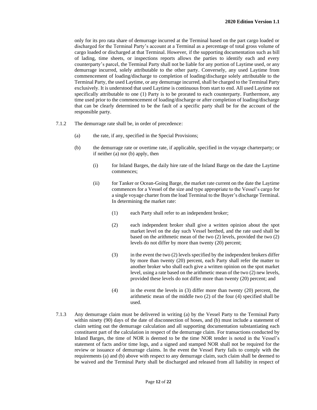only for its pro rata share of demurrage incurred at the Terminal based on the part cargo loaded or discharged for the Terminal Party's account at a Terminal as a percentage of total gross volume of cargo loaded or discharged at that Terminal. However, if the supporting documentation such as bill of lading, time sheets, or inspections reports allows the parties to identify each and every counterparty's parcel, the Terminal Party shall not be liable for any portion of Laytime used, or any demurrage incurred, solely attributable to the other party. Conversely, any used Laytime from commencement of loading/discharge to completion of loading/discharge solely attributable to the Terminal Party, the used Laytime, or any demurrage incurred, shall be charged to the Terminal Party exclusively. It is understood that used Laytime is continuous from start to end. All used Laytime not specifically attributable to one (1) Party is to be prorated to each counterparty. Furthermore, any time used prior to the commencement of loading/discharge or after completion of loading/discharge that can be clearly determined to be the fault of a specific party shall be for the account of the responsible party.

- 7.1.2 The demurrage rate shall be, in order of precedence:
	- (a) the rate, if any, specified in the Special Provisions;
	- (b) the demurrage rate or overtime rate, if applicable, specified in the voyage charterparty; or if neither (a) nor (b) apply, then
		- (i) for Inland Barges, the daily hire rate of the Inland Barge on the date the Laytime commences;
		- (ii) for Tanker or Ocean-Going Barge, the market rate current on the date the Laytime commences for a Vessel of the size and type appropriate to the Vessel's cargo for a single voyage charter from the load Terminal to the Buyer's discharge Terminal. In determining the market rate:
			- (1) each Party shall refer to an independent broker;
			- (2) each independent broker shall give a written opinion about the spot market level on the day such Vessel berthed, and the rate used shall be based on the arithmetic mean of the two (2) levels, provided the two (2) levels do not differ by more than twenty (20) percent;
			- (3) in the event the two (2) levels specified by the independent brokers differ by more than twenty (20) percent, each Party shall refer the matter to another broker who shall each give a written opinion on the spot market level, using a rate based on the arithmetic mean of the two (2) new levels, provided these levels do not differ more than twenty (20) percent; and
			- (4) in the event the levels in (3) differ more than twenty (20) percent, the arithmetic mean of the middle two (2) of the four (4) specified shall be used.
- 7.1.3 Any demurrage claim must be delivered in writing (a) by the Vessel Party to the Terminal Party within ninety (90) days of the date of disconnection of hoses, and (b) must include a statement of claim setting out the demurrage calculation and all supporting documentation substantiating each constituent part of the calculation in respect of the demurrage claim. For transactions conducted by Inland Barges, the time of NOR is deemed to be the time NOR tender is noted in the Vessel's statement of facts and/or time logs, and a signed and stamped NOR shall not be required for the review or issuance of demurrage claims. In the event the Vessel Party fails to comply with the requirements (a) and (b) above with respect to any demurrage claim, such claim shall be deemed to be waived and the Terminal Party shall be discharged and released from all liability in respect of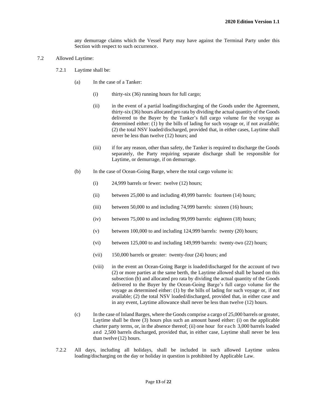any demurrage claims which the Vessel Party may have against the Terminal Party under this Section with respect to such occurrence.

- 7.2 Allowed Laytime:
	- 7.2.1 Laytime shall be:
		- (a) In the case of a Tanker:
			- (i) thirty-six (36) running hours for full cargo;
			- (ii) in the event of a partial loading/discharging of the Goods under the Agreement, thirty-six (36) hours allocated pro rata by dividing the actual quantity of the Goods delivered to the Buyer by the Tanker's full cargo volume for the voyage as determined either: (1) by the bills of lading for such voyage or, if not available; (2) the total NSV loaded/discharged, provided that, in either cases, Laytime shall never be less than twelve (12) hours; and
			- (iii) if for any reason, other than safety, the Tanker is required to discharge the Goods separately, the Party requiring separate discharge shall be responsible for Laytime, or demurrage, if on demurrage.
		- (b) In the case of Ocean-Going Barge, where the total cargo volume is:
			- (i) 24,999 barrels or fewer: twelve (12) hours;
			- (ii) between 25,000 to and including 49,999 barrels: fourteen (14) hours;
			- (iii) between 50,000 to and including 74,999 barrels: sixteen (16) hours;
			- (iv) between 75,000 to and including 99,999 barrels: eighteen (18) hours;
			- (v) between 100,000 to and including 124,999 barrels: twenty (20) hours;
			- (vi) between 125,000 to and including 149,999 barrels: twenty-two (22) hours;
			- (vii) 150,000 barrels or greater: twenty-four (24) hours; and
			- (viii) in the event an Ocean-Going Barge is loaded/discharged for the account of two (2) or more parties at the same berth, the Laytime allowed shall be based on this subsection (b) and allocated pro rata by dividing the actual quantity of the Goods delivered to the Buyer by the Ocean-Going Barge's full cargo volume for the voyage as determined either: (1) by the bills of lading for such voyage or, if not available; (2) the total NSV loaded/discharged, provided that, in either case and in any event, Laytime allowance shall never be less than twelve (12) hours.
		- (c) In the case of Inland Barges, where the Goods comprise a cargo of 25,000 barrels or greater, Laytime shall be three (3) hours plus such an amount based either: (i) on the applicable charter party terms, or, in the absence thereof; (ii) one hour for each 3,000 barrels loaded and 2,500 barrels discharged, provided that, in either case, Laytime shall never be less than twelve (12) hours.
	- 7.2.2 All days, including all holidays, shall be included in such allowed Laytime unless loading/discharging on the day or holiday in question is prohibited by Applicable Law.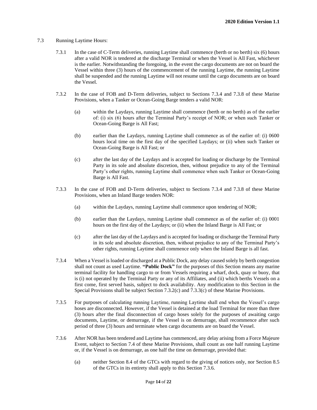#### 7.3 Running Laytime Hours:

- 7.3.1 In the case of C-Term deliveries, running Laytime shall commence (berth or no berth) six (6) hours after a valid NOR is tendered at the discharge Terminal or when the Vessel is All Fast, whichever is the earlier. Notwithstanding the foregoing, in the event the cargo documents are not on board the Vessel within three (3) hours of the commencement of the running Laytime, the running Laytime shall be suspended and the running Laytime will not resume until the cargo documents are on board the Vessel.
- 7.3.2 In the case of FOB and D-Term deliveries, subject to Sections 7.3.4 and 7.3.8 of these Marine Provisions, when a Tanker or Ocean-Going Barge tenders a valid NOR:
	- (a) within the Laydays, running Laytime shall commence (berth or no berth) as of the earlier of: (i) six (6) hours after the Terminal Party's receipt of NOR; or when such Tanker or Ocean-Going Barge is All Fast;
	- (b) earlier than the Laydays, running Laytime shall commence as of the earlier of: (i) 0600 hours local time on the first day of the specified Laydays; or (ii) when such Tanker or Ocean-Going Barge is All Fast; or
	- (c) after the last day of the Laydays and is accepted for loading or discharge by the Terminal Party in its sole and absolute discretion, then, without prejudice to any of the Terminal Party's other rights, running Laytime shall commence when such Tanker or Ocean-Going Barge is All Fast.
- 7.3.3 In the case of FOB and D-Term deliveries, subject to Sections 7.3.4 and 7.3.8 of these Marine Provisions, when an Inland Barge tenders NOR:
	- (a) within the Laydays, running Laytime shall commence upon tendering of NOR;
	- (b) earlier than the Laydays, running Laytime shall commence as of the earlier of: (i) 0001 hours on the first day of the Laydays; or (ii) when the Inland Barge is All Fast; or
	- (c) after the last day of the Laydays and is accepted for loading or discharge the Terminal Party in its sole and absolute discretion, then, without prejudice to any of the Terminal Party's other rights, running Laytime shall commence only when the Inland Barge is all fast.
- 7.3.4 When a Vessel is loaded or discharged at a Public Dock, any delay caused solely by berth congestion shall not count as used Laytime. **"Public Dock"** for the purposes of this Section means any marine terminal facility for handling cargo to or from Vessels requiring a wharf, dock, quay or buoy, that is (i) not operated by the Terminal Party or any of its Affiliates, and (ii) which berths Vessels on a first come, first served basis, subject to dock availability. Any modification to this Section in the Special Provisions shall be subject Section 7.3.2(c) and 7.3.3(c) of these Marine Provisions.
- 7.3.5 For purposes of calculating running Laytime, running Laytime shall end when the Vessel's cargo hoses are disconnected. However, if the Vessel is detained at the load Terminal for more than three (3) hours after the final disconnection of cargo hoses solely for the purposes of awaiting cargo documents, Laytime, or demurrage, if the Vessel is on demurrage, shall recommence after such period of three (3) hours and terminate when cargo documents are on board the Vessel.
- 7.3.6 After NOR has been tendered and Laytime has commenced, any delay arising from a Force Majeure Event, subject to Section 7.4 of these Marine Provisions, shall count as one half running Laytime or, if the Vessel is on demurrage, as one half the time on demurrage, provided that:
	- (a) neither Section 8.4 of the GTCs with regard to the giving of notices only, nor Section 8.5 of the GTCs in its entirety shall apply to this Section 7.3.6.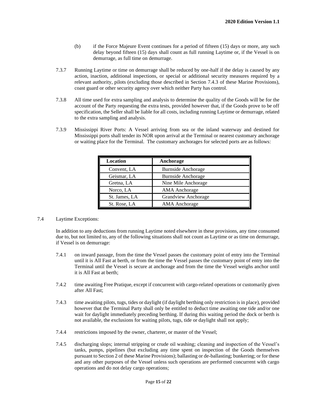- (b) if the Force Majeure Event continues for a period of fifteen (15) days or more, any such delay beyond fifteen (15) days shall count as full running Laytime or, if the Vessel is on demurrage, as full time on demurrage.
- 7.3.7 Running Laytime or time on demurrage shall be reduced by one-half if the delay is caused by any action, inaction, additional inspections, or special or additional security measures required by a relevant authority, pilots (excluding those described in Section 7.4.3 of these Marine Provisions), coast guard or other security agency over which neither Party has control.
- 7.3.8 All time used for extra sampling and analysis to determine the quality of the Goods will be for the account of the Party requesting the extra tests, provided however that, if the Goods prove to be off specification, the Seller shall be liable for all costs, including running Laytime or demurrage, related to the extra sampling and analysis.
- 7.3.9 Mississippi River Ports: A Vessel arriving from sea or the inland waterway and destined for Mississippi ports shall tender its NOR upon arrival at the Terminal or nearest customary anchorage or waiting place for the Terminal. The customary anchorages for selected ports are as follows:

| <b>Location</b> | Anchorage                  |
|-----------------|----------------------------|
| Convent, LA     | <b>Burnside Anchorage</b>  |
| Geismar, LA     | <b>Burnside Anchorage</b>  |
| Gretna, LA      | Nine Mile Anchorage        |
| Norco, LA       | <b>AMA</b> Anchorage       |
| St. James, LA   | <b>Grandview Anchorage</b> |
| St. Rose, LA    | <b>AMA</b> Anchorage       |

#### 7.4 Laytime Exceptions:

In addition to any deductions from running Laytime noted elsewhere in these provisions, any time consumed due to, but not limited to, any of the following situations shall not count as Laytime or as time on demurrage, if Vessel is on demurrage:

- 7.4.1 on inward passage, from the time the Vessel passes the customary point of entry into the Terminal until it is All Fast at berth, or from the time the Vessel passes the customary point of entry into the Terminal until the Vessel is secure at anchorage and from the time the Vessel weighs anchor until it is All Fast at berth;
- 7.4.2 time awaiting Free Pratique, except if concurrent with cargo-related operations or customarily given after All Fast;
- 7.4.3 time awaiting pilots, tugs, tides or daylight (if daylight berthing only restriction is in place), provided however that the Terminal Party shall only be entitled to deduct time awaiting one tide and/or one wait for daylight immediately preceding berthing. If during this waiting period the dock or berth is not available, the exclusions for waiting pilots, tugs, tide or daylight shall not apply;
- 7.4.4 restrictions imposed by the owner, charterer, or master of the Vessel;
- 7.4.5 discharging slops; internal stripping or crude oil washing; cleaning and inspection of the Vessel's tanks, pumps, pipelines (but excluding any time spent on inspection of the Goods themselves pursuant to Section 2 of these Marine Provisions); ballasting or de-ballasting; bunkering; or for these and any other purposes of the Vessel unless such operations are performed concurrent with cargo operations and do not delay cargo operations;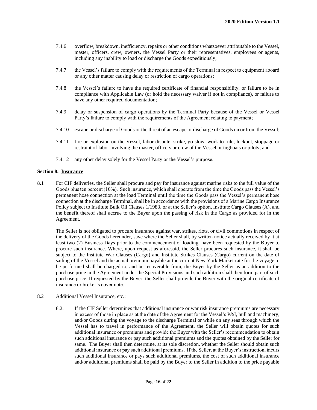- 7.4.6 overflow, breakdown, inefficiency, repairs or other conditions whatsoever attributable to the Vessel, master, officers, crew, owners**,** the Vessel Party or their representatives, employees or agents, including any inability to load or discharge the Goods expeditiously;
- 7.4.7 the Vessel's failure to comply with the requirements of the Terminal in respect to equipment aboard or any other matter causing delay or restriction of cargo operations;
- 7.4.8 the Vessel's failure to have the required certificate of financial responsibility, or failure to be in compliance with Applicable Law (or hold the necessary waiver if not in compliance), or failure to have any other required documentation;
- 7.4.9 delay or suspension of cargo operations by the Terminal Party because of the Vessel or Vessel Party's failure to comply with the requirements of the Agreement relating to payment;
- 7.4.10 escape or discharge of Goods or the threat of an escape or discharge of Goods on or from the Vessel;
- 7.4.11 fire or explosion on the Vessel, labor dispute, strike, go slow, work to rule, lockout, stoppage or restraint of labor involving the master, officers or crew of the Vessel or tugboats or pilots; and
- 7.4.12 any other delay solely for the Vessel Party or the Vessel's purpose.

#### **Section 8. Insurance**

8.1 For CIF deliveries, the Seller shall procure and pay for insurance against marine risks to the full value of the Goods plus ten percent (10%). Such insurance, which shall operate from the time the Goods pass the Vessel's permanent hose connection at the load Terminal until the time the Goods pass the Vessel's permanent hose connection at the discharge Terminal, shall be in accordance with the provisions of a Marine Cargo Insurance Policy subject to Institute Bulk Oil Clauses 1/1983, or at the Seller's option, Institute Cargo Clauses (A), and the benefit thereof shall accrue to the Buyer upon the passing of risk in the Cargo as provided for in the Agreement.

The Seller is not obligated to procure insurance against war, strikes, riots, or civil commotions in respect of the delivery of the Goods hereunder, save where the Seller shall, by written notice actually received by it at least two (2) Business Days prior to the commencement of loading, have been requested by the Buyer to procure such insurance. Where, upon request as aforesaid, the Seller procures such insurance, it shall be subject to the Institute War Clauses (Cargo) and Institute Strikes Clauses (Cargo) current on the date of sailing of the Vessel and the actual premium payable at the current New York Market rate for the voyage to be performed shall be charged to, and be recoverable from, the Buyer by the Seller as an addition to the purchase price in the Agreement under the Special Provisions and such addition shall then form part of such purchase price. If requested by the Buyer, the Seller shall provide the Buyer with the original certificate of insurance or broker's cover note.

- 8.2 Additional Vessel Insurance, etc.:
	- 8.2.1 If the CIF Seller determines that additional insurance or war risk insurance premiums are necessary in excess of those in place as at the date of the Agreement for the Vessel's P&I, hull and machinery, and/or Goods during the voyage to the discharge Terminal or while on any seas through which the Vessel has to travel in performance of the Agreement, the Seller will obtain quotes for such additional insurance or premiums and provide the Buyer with the Seller's recommendation to obtain such additional insurance or pay such additional premiums and the quotes obtained by the Seller for same. The Buyer shall then determine, at its sole discretion, whether the Seller should obtain such additional insurance or pay such additional premiums. If the Seller, at the Buyer's instruction, incurs such additional insurance or pays such additional premiums, the cost of such additional insurance and/or additional premiums shall be paid by the Buyer to the Seller in addition to the price payable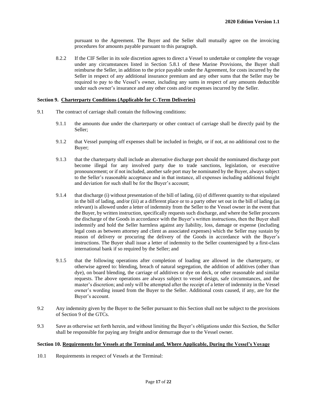pursuant to the Agreement. The Buyer and the Seller shall mutually agree on the invoicing procedures for amounts payable pursuant to this paragraph.

8.2.2 If the CIF Seller in its sole discretion agrees to direct a Vessel to undertake or complete the voyage under any circumstances listed in Section 5.8.1 of these Marine Provisions, the Buyer shall reimburse the Seller, in addition to the price payable under the Agreement, for costs incurred by the Seller in respect of any additional insurance premium and any other sums that the Seller may be required to pay to the Vessel's owner, including any sums in respect of any amounts deductible under such owner's insurance and any other costs and/or expenses incurred by the Seller.

#### **Section 9. Charterparty Conditions (Applicable for C-Term Deliveries)**

- 9.1 The contract of carriage shall contain the following conditions:
	- 9.1.1 the amounts due under the charterparty or other contract of carriage shall be directly paid by the Seller;
	- 9.1.2 that Vessel pumping off expenses shall be included in freight, or if not, at no additional cost to the Buyer;
	- 9.1.3 that the charterparty shall include an alternative discharge port should the nominated discharge port become illegal for any involved party due to trade sanctions, legislation, or executive pronouncement; or if not included, another safe port may be nominated by the Buyer, always subject to the Seller's reasonable acceptance and in that instance, all expenses including additional freight and deviation for such shall be for the Buyer's account;
	- 9.1.4 that discharge (i) without presentation of the bill of lading, (ii) of different quantity to that stipulated in the bill of lading, and/or (iii) at a different place or to a party other set out in the bill of lading (as relevant) is allowed under a letter of indemnity from the Seller to the Vessel owner in the event that the Buyer, by written instruction, specifically requests such discharge, and where the Seller procures the discharge of the Goods in accordance with the Buyer's written instructions, then the Buyer shall indemnify and hold the Seller harmless against any liability, loss, damage or expense (including legal costs as between attorney and client as associated expenses) which the Seller may sustain by reason of delivery or procuring the delivery of the Goods in accordance with the Buyer's instructions. The Buyer shall issue a letter of indemnity to the Seller countersigned by a first-class international bank if so required by the Seller; and
	- 9.1.5 that the following operations after completion of loading are allowed in the charterparty, or otherwise agreed to: blending, breach of natural segregation, the addition of additives (other than dye), on board blending, the carriage of additives or dye on deck, or other reasonable and similar requests. The above operations are always subject to vessel design, safe circumstances, and the master's discretion; and only will be attempted after the receipt of a letter of indemnity in the Vessel owner's wording issued from the Buyer to the Seller. Additional costs caused, if any, are for the Buyer's account.
- 9.2 Any indemnity given by the Buyer to the Seller pursuant to this Section shall not be subject to the provisions of Section 9 of the GTCs.
- 9.3 Save as otherwise set forth herein, and without limiting the Buyer's obligations under this Section, the Seller shall be responsible for paying any freight and/or demurrage due to the Vessel owner.

#### **Section 10. Requirements for Vessels at the Terminal and, Where Applicable, During the Vessel's Voyage**

10.1 Requirements in respect of Vessels at the Terminal: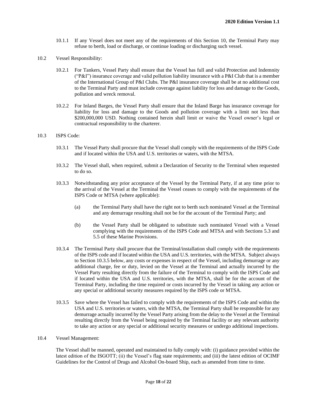- 10.1.1 If any Vessel does not meet any of the requirements of this Section 10, the Terminal Party may refuse to berth, load or discharge, or continue loading or discharging such vessel.
- 10.2 Vessel Responsibility:
	- 10.2.1 For Tankers, Vessel Party shall ensure that the Vessel has full and valid Protection and Indemnity ("P&I") insurance coverage and valid pollution liability insurance with a P&I Club that is a member of the International Group of P&I Clubs. The P&I insurance coverage shall be at no additional cost to the Terminal Party and must include coverage against liability for loss and damage to the Goods, pollution and wreck removal.
	- 10.2.2 For Inland Barges, the Vessel Party shall ensure that the Inland Barge has insurance coverage for liability for loss and damage to the Goods and pollution coverage with a limit not less than \$200,000,000 USD. Nothing contained herein shall limit or waive the Vessel owner's legal or contractual responsibility to the charterer.

#### 10.3 ISPS Code:

- 10.3.1 The Vessel Party shall procure that the Vessel shall comply with the requirements of the ISPS Code and if located within the USA and U.S. territories or waters, with the MTSA.
- 10.3.2 The Vessel shall, when required, submit a Declaration of Security to the Terminal when requested to do so.
- 10.3.3 Notwithstanding any prior acceptance of the Vessel by the Terminal Party, if at any time prior to the arrival of the Vessel at the Terminal the Vessel ceases to comply with the requirements of the ISPS Code or MTSA (where applicable):
	- (a) the Terminal Party shall have the right not to berth such nominated Vessel at the Terminal and any demurrage resulting shall not be for the account of the Terminal Party; and
	- (b) the Vessel Party shall be obligated to substitute such nominated Vessel with a Vessel complying with the requirements of the ISPS Code and MTSA and with Sections 5.3 and 5.5 of these Marine Provisions.
- 10.3.4 The Terminal Party shall procure that the Terminal/installation shall comply with the requirements of the ISPS code and if located within the USA and U.S. territories, with the MTSA. Subject always to Section 10.3.5 below, any costs or expenses in respect of the Vessel, including demurrage or any additional charge, fee or duty, levied on the Vessel at the Terminal and actually incurred by the Vessel Party resulting directly from the failure of the Terminal to comply with the ISPS Code and if located within the USA and U.S. territories, with the MTSA, shall be for the account of the Terminal Party, including the time required or costs incurred by the Vessel in taking any action or any special or additional security measures required by the ISPS code or MTSA.
- 10.3.5 Save where the Vessel has failed to comply with the requirements of the ISPS Code and within the USA and U.S. territories or waters, with the MTSA, the Terminal Party shall be responsible for any demurrage actually incurred by the Vessel Party arising from the delay to the Vessel at the Terminal resulting directly from the Vessel being required by the Terminal facility or any relevant authority to take any action or any special or additional security measures or undergo additional inspections.

#### 10.4 Vessel Management:

The Vessel shall be manned, operated and maintained to fully comply with: (i) guidance provided within the latest edition of the ISGOTT; (ii) the Vessel's flag state requirements; and (iii) the latest edition of OCIMF Guidelines for the Control of Drugs and Alcohol On-board Ship, each as amended from time to time.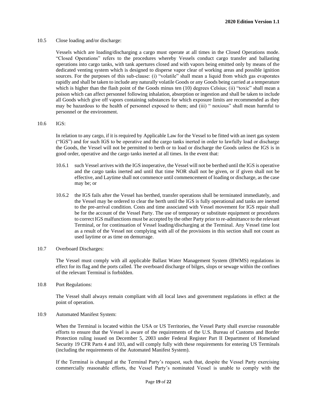10.5 Close loading and/or discharge:

Vessels which are loading/discharging a cargo must operate at all times in the Closed Operations mode. "Closed Operations" refers to the procedures whereby Vessels conduct cargo transfer and ballasting operations into cargo tanks, with tank apertures closed and with vapors being emitted only by means of the dedicated venting system which is designed to disperse vapor clear of working areas and possible ignition sources. For the purposes of this sub-clause: (i) "volatile" shall mean a liquid from which gas evaporates rapidly and shall be taken to include any naturally volatile Goods or any Goods being carried at a temperature which is higher than the flash point of the Goods minus ten (10) degrees Celsius; (ii) "toxic" shall mean a poison which can affect personnel following inhalation, absorption or ingestion and shall be taken to include all Goods which give off vapors containing substances for which exposure limits are recommended as they may be hazardous to the health of personnel exposed to them; and (iii) " noxious" shall mean harmful to personnel or the environment.

10.6 IGS:

In relation to any cargo, if it is required by Applicable Law for the Vessel to be fitted with an inert gas system ("IGS") and for such IGS to be operative and the cargo tanks inerted in order to lawfully load or discharge the Goods, the Vessel will not be permitted to berth or to load or discharge the Goods unless the IGS is in good order, operative and the cargo tanks inerted at all times. In the event that:

- 10.6.1 such Vessel arrives with the IGS inoperative, the Vessel will not be berthed until the IGS is operative and the cargo tanks inerted and until that time NOR shall not be given, or if given shall not be effective, and Laytime shall not commence until commencement of loading or discharge, as the case may be; or
- 10.6.2 the IGS fails after the Vessel has berthed, transfer operations shall be terminated immediately, and the Vessel may be ordered to clear the berth until the IGS is fully operational and tanks are inerted to the pre-arrival condition. Costs and time associated with Vessel movement for IGS repair shall be for the account of the Vessel Party. The use of temporary or substitute equipment or procedures to correct IGS malfunctions must be accepted by the other Party prior to re-admittance to the relevant Terminal, or for continuation of Vessel loading/discharging at the Terminal. Any Vessel time lost as a result of the Vessel not complying with all of the provisions in this section shall not count as used laytime or as time on demurrage.
- 10.7 Overboard Discharges:

The Vessel must comply with all applicable Ballast Water Management System (BWMS) regulations in effect for its flag and the ports called. The overboard discharge of bilges, slops or sewage within the confines of the relevant Terminal is forbidden.

10.8 Port Regulations:

The Vessel shall always remain compliant with all local laws and government regulations in effect at the point of operation.

10.9 Automated Manifest System:

When the Terminal is located within the USA or US Territories, the Vessel Party shall exercise reasonable efforts to ensure that the Vessel is aware of the requirements of the U.S. Bureau of Customs and Border Protection ruling issued on December 5, 2003 under Federal Register Part II Department of Homeland Security 19 CFR Parts 4 and 103, and will comply fully with these requirements for entering US Terminals (including the requirements of the Automated Manifest System).

If the Terminal is changed at the Terminal Party's request, such that, despite the Vessel Party exercising commercially reasonable efforts, the Vessel Party's nominated Vessel is unable to comply with the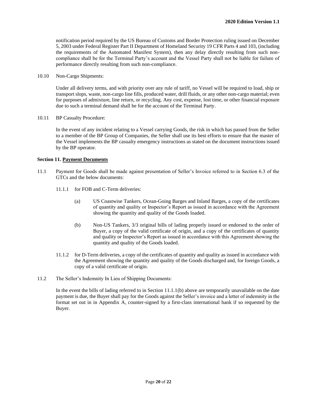notification period required by the US Bureau of Customs and Border Protection ruling issued on December 5, 2003 under Federal Register Part II Department of Homeland Security 19 CFR Parts 4 and 103, (including the requirements of the Automated Manifest System), then any delay directly resulting from such noncompliance shall be for the Terminal Party's account and the Vessel Party shall not be liable for failure of performance directly resulting from such non-compliance.

10.10 Non-Cargo Shipments:

Under all delivery terms, and with priority over any rule of tariff, no Vessel will be required to load, ship or transport slops, waste, non-cargo line fills, produced water, drill fluids, or any other non-cargo material; even for purposes of admixture, line return, or recycling. Any cost, expense, lost time, or other financial exposure due to such a terminal demand shall be for the account of the Terminal Party.

10.11 BP Casualty Procedure:

In the event of any incident relating to a Vessel carrying Goods, the risk in which has passed from the Seller to a member of the BP Group of Companies, the Seller shall use its best efforts to ensure that the master of the Vessel implements the BP casualty emergency instructions as stated on the document instructions issued by the BP operator.

#### **Section 11. Payment Documents**

- 11.1 Payment for Goods shall be made against presentation of Seller's Invoice referred to in Section 6.3 of the GTCs and the below documents:
	- 11.1.1 for FOB and C-Term deliveries:
		- (a) US Coastwise Tankers, Ocean-Going Barges and Inland Barges, a copy of the certificates of quantity and quality or Inspector's Report as issued in accordance with the Agreement showing the quantity and quality of the Goods loaded.
		- (b) Non-US Tankers, 3/3 original bills of lading properly issued or endorsed to the order of Buyer, a copy of the valid certificate of origin, and a copy of the certificates of quantity and quality or Inspector's Report as issued in accordance with this Agreement showing the quantity and quality of the Goods loaded.
	- 11.1.2 for D-Term deliveries, a copy of the certificates of quantity and quality as issued in accordance with the Agreement showing the quantity and quality of the Goods discharged and, for foreign Goods, a copy of a valid certificate of origin.
- 11.2 The Seller's Indemnity In Lieu of Shipping Documents:

In the event the bills of lading referred to in Section 11.1.1(b) above are temporarily unavailable on the date payment is due, the Buyer shall pay for the Goods against the Seller's invoice and a letter of indemnity in the format set out in in Appendix A, counter-signed by a first-class international bank if so requested by the Buyer.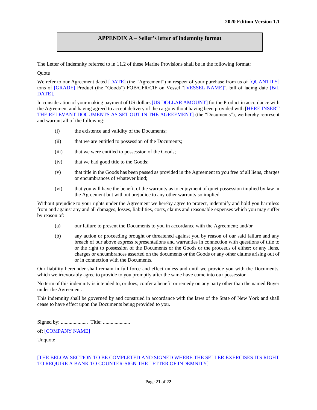#### **APPENDIX A – Seller's letter of indemnity format**

The Letter of Indemnity referred to in 11.2 of these Marine Provisions shall be in the following format:

Quote

We refer to our Agreement dated [DATE] (the "Agreement") in respect of your purchase from us of [QUANTITY] tons of [GRADE] Product (the "Goods") FOB/CFR/CIF on Vessel "[VESSEL NAME]", bill of lading date [B/L DATE].

In consideration of your making payment of US dollars [US DOLLAR AMOUNT] for the Product in accordance with the Agreement and having agreed to accept delivery of the cargo without having been provided with [HERE INSERT THE RELEVANT DOCUMENTS AS SET OUT IN THE AGREEMENT] (the "Documents"), we hereby represent and warrant all of the following:

- (i) the existence and validity of the Documents;
- (ii) that we are entitled to possession of the Documents;
- (iii) that we were entitled to possession of the Goods;
- (iv) that we had good title to the Goods;
- (v) that title in the Goods has been passed as provided in the Agreement to you free of all liens, charges or encumbrances of whatever kind;
- (vi) that you will have the benefit of the warranty as to enjoyment of quiet possession implied by law in the Agreement but without prejudice to any other warranty so implied.

Without prejudice to your rights under the Agreement we hereby agree to protect, indemnify and hold you harmless from and against any and all damages, losses, liabilities, costs, claims and reasonable expenses which you may suffer by reason of:

- (a) our failure to present the Documents to you in accordance with the Agreement; and/or
- (b) any action or proceeding brought or threatened against you by reason of our said failure and any breach of our above express representations and warranties in connection with questions of title to or the right to possession of the Documents or the Goods or the proceeds of either; or any liens, charges or encumbrances asserted on the documents or the Goods or any other claims arising out of or in connection with the Documents.

Our liability hereunder shall remain in full force and effect unless and until we provide you with the Documents, which we irrevocably agree to provide to you promptly after the same have come into our possession.

No term of this indemnity is intended to, or does, confer a benefit or remedy on any party other than the named Buyer under the Agreement.

This indemnity shall be governed by and construed in accordance with the laws of the State of New York and shall cease to have effect upon the Documents being provided to you.

Signed by: ..................... Title: .....................

of: [COMPANY NAME]

Unquote

#### [THE BELOW SECTION TO BE COMPLETED AND SIGNED WHERE THE SELLER EXERCISES ITS RIGHT TO REQUIRE A BANK TO COUNTER-SIGN THE LETTER OF INDEMNITY]